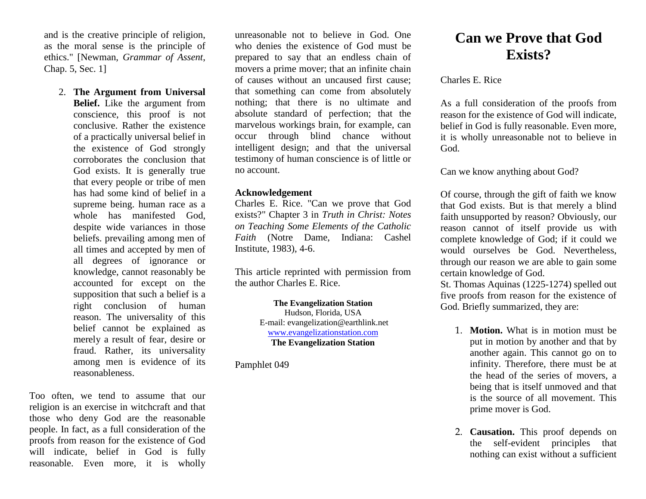and is the creative principle of religion, as the moral sense is the principle of ethics." [Newman, *Grammar of Assent*, Chap. 5, Sec. 1]

2. **The Argument from Universal Belief.** Like the argument from conscience, this proof is not conclusive. Rather the existence of a practically universal belief in the existence of God strongly corroborates the conclusion that God exists. It is generally true that every people or tribe of men has had some kind of belief in a supreme being. human race as a whole has manifested God, despite wide variances in those beliefs. prevailing among men of all times and accepted by men of all degrees of ignorance or knowledge, cannot reasonably be accounted for except on the supposition that such a belief is a right conclusion of human reason. The universality of this belief cannot be explained as merely a result of fear, desire or fraud. Rather, its universality among men is evidence of its reasonableness.

Too often, we tend to assume that our religion is an exercise in witchcraft and that those who deny God are the reasonable people. In fact, as a full consideration of the proofs from reason for the existence of God will indicate, belief in God is fully reasonable. Even more, it is wholly

unreasonable not to believe in God. One who denies the existence of God must be prepared to say that an endless chain of movers a prime mover; that an infinite chain of causes without an uncaused first cause; that something can come from absolutely nothing; that there is no ultimate and absolute standard of perfection; that the marvelous workings brain, for example, can occur through blind chance without intelligent design; and that the universal testimony of human conscience is of little or no account.

## **Acknowledgement**

Charles E. Rice. "Can we prove that God exists?" Chapter 3 in *Truth in Christ: Notes on Teaching Some Elements of the Catholic Faith* (Notre Dame, Indiana: Cashel Institute, 1983), 4-6.

This article reprinted with permission from the author Charles E. Rice.

> **The Evangelization Station** Hudson, Florida, USA E-mail: evangelization@earthlink.net [www.evangelizationstation.com](http://www.pjpiisoe.org/) **The Evangelization Station**

Pamphlet 049

## **Can we Prove that God Exists?**

Charles E. Rice

As a full consideration of the proofs from reason for the existence of God will indicate, belief in God is fully reasonable. Even more, it is wholly unreasonable not to believe in God.

Can we know anything about God?

Of course, through the gift of faith we know that God exists. But is that merely a blind faith unsupported by reason? Obviously, our reason cannot of itself provide us with complete knowledge of God; if it could we would ourselves be God. Nevertheless, through our reason we are able to gain some certain knowledge of God.

St. Thomas Aquinas (1225-1274) spelled out five proofs from reason for the existence of God. Briefly summarized, they are:

- 1. **Motion.** What is in motion must be put in motion by another and that by another again. This cannot go on to infinity. Therefore, there must be at the head of the series of movers, a being that is itself unmoved and that is the source of all movement. This prime mover is God.
- 2. **Causation.** This proof depends on the self-evident principles that nothing can exist without a sufficient